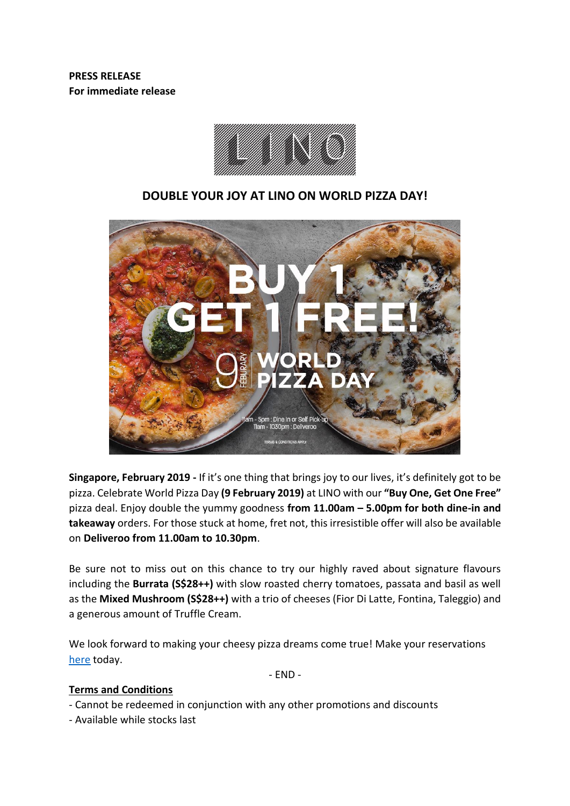**PRESS RELEASE For immediate release**



# **DOUBLE YOUR JOY AT LINO ON WORLD PIZZA DAY!**



**Singapore, February 2019 -** If it's one thing that brings joy to our lives, it's definitely got to be pizza. Celebrate World Pizza Day **(9 February 2019)** at LINO with our **"Buy One, Get One Free"** pizza deal. Enjoy double the yummy goodness **from 11.00am – 5.00pm for both dine-in and takeaway** orders. For those stuck at home, fret not, this irresistible offer will also be available on **Deliveroo from 11.00am to 10.30pm**.

Be sure not to miss out on this chance to try our highly raved about signature flavours including the **Burrata (S\$28++)** with slow roasted cherry tomatoes, passata and basil as well as the **Mixed Mushroom (S\$28++)** with a trio of cheeses (Fior Di Latte, Fontina, Taleggio) and a generous amount of Truffle Cream.

We look forward to making your cheesy pizza dreams come true! Make your reservations [here](https://bookv5.chope.co/booking?rid=lino1810sg&source=rest_www.lino.com.sg) today.

- END -

#### **Terms and Conditions**

- Cannot be redeemed in conjunction with any other promotions and discounts
- Available while stocks last